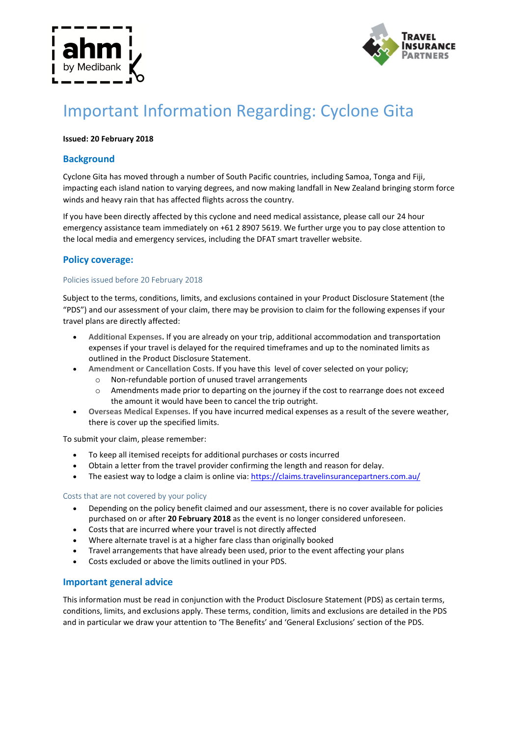



# Important Information Regarding: Cyclone Gita

### **Issued: 20 February 2018**

# **Background**

Cyclone Gita has moved through a number of South Pacific countries, including Samoa, Tonga and Fiji, impacting each island nation to varying degrees, and now making landfall in New Zealand bringing storm force winds and heavy rain that has affected flights across the country.

If you have been directly affected by this cyclone and need medical assistance, please call our 24 hour emergency assistance team immediately on +61 2 8907 5619. We further urge you to pay close attention to the local media and emergency services, including the DFAT smart traveller website.

## **Policy coverage:**

#### Policies issued before 20 February 2018

Subject to the terms, conditions, limits, and exclusions contained in your Product Disclosure Statement (the "PDS") and our assessment of your claim, there may be provision to claim for the following expenses if your travel plans are directly affected:

- **Additional Expenses.** If you are already on your trip, additional accommodation and transportation expenses if your travel is delayed for the required timeframes and up to the nominated limits as outlined in the Product Disclosure Statement.
- **Amendment or Cancellation Costs.** If you have this level of cover selected on your policy;
	- o Non-refundable portion of unused travel arrangements
	- o Amendments made prior to departing on the journey if the cost to rearrange does not exceed the amount it would have been to cancel the trip outright.
- **Overseas Medical Expenses.** If you have incurred medical expenses as a result of the severe weather, there is cover up the specified limits.

To submit your claim, please remember:

- To keep all itemised receipts for additional purchases or costs incurred
- Obtain a letter from the travel provider confirming the length and reason for delay.
- The easiest way to lodge a claim is online via:<https://claims.travelinsurancepartners.com.au/>

#### Costs that are not covered by your policy

- Depending on the policy benefit claimed and our assessment, there is no cover available for policies purchased on or after **20 February 2018** as the event is no longer considered unforeseen.
- Costs that are incurred where your travel is not directly affected
- Where alternate travel is at a higher fare class than originally booked
- Travel arrangements that have already been used, prior to the event affecting your plans
- Costs excluded or above the limits outlined in your PDS.

## **Important general advice**

This information must be read in conjunction with the Product Disclosure Statement (PDS) as certain terms, conditions, limits, and exclusions apply. These terms, condition, limits and exclusions are detailed in the PDS and in particular we draw your attention to 'The Benefits' and 'General Exclusions' section of the PDS.